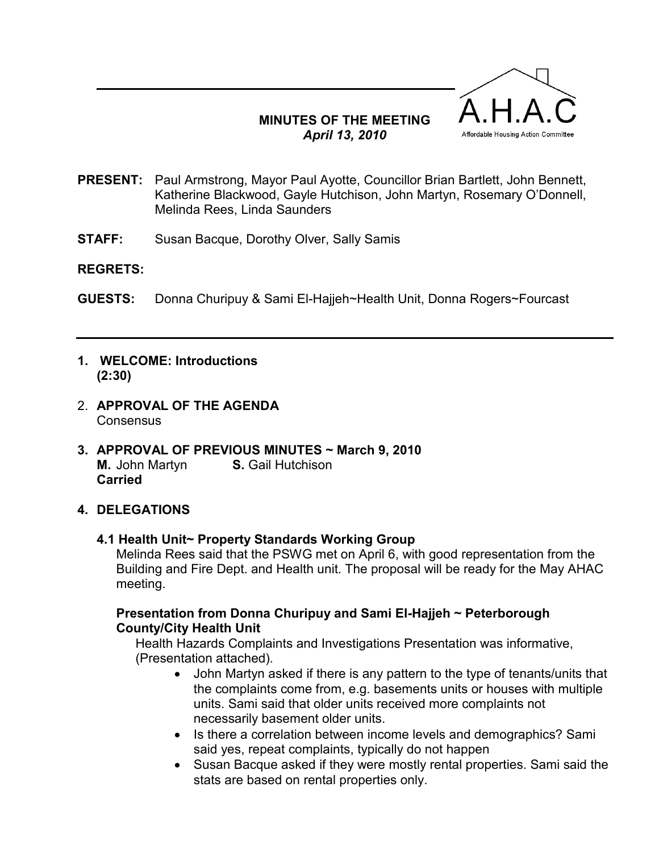## MINUTES OF THE MEETING April 13, 2010



- PRESENT: Paul Armstrong, Mayor Paul Ayotte, Councillor Brian Bartlett, John Bennett, Katherine Blackwood, Gayle Hutchison, John Martyn, Rosemary O'Donnell, Melinda Rees, Linda Saunders
- **STAFF:** Susan Bacque, Dorothy Olver, Sally Samis

#### REGRETS:

- GUESTS: Donna Churipuy & Sami El-Hajjeh~Health Unit, Donna Rogers~Fourcast
- 1. WELCOME: Introductions (2:30)
- 2. APPROVAL OF THE AGENDA **Consensus**
- 3. APPROVAL OF PREVIOUS MINUTES ~ March 9, 2010 M. John Martyn **S. Gail Hutchison** Carried

## 4. DELEGATIONS

4.1 Health Unit~ Property Standards Working Group

Melinda Rees said that the PSWG met on April 6, with good representation from the Building and Fire Dept. and Health unit. The proposal will be ready for the May AHAC meeting.

### Presentation from Donna Churipuy and Sami El-Hajjeh ~ Peterborough County/City Health Unit

Health Hazards Complaints and Investigations Presentation was informative, (Presentation attached).

- John Martyn asked if there is any pattern to the type of tenants/units that the complaints come from, e.g. basements units or houses with multiple units. Sami said that older units received more complaints not necessarily basement older units.
- Is there a correlation between income levels and demographics? Sami said yes, repeat complaints, typically do not happen
- Susan Bacque asked if they were mostly rental properties. Sami said the stats are based on rental properties only.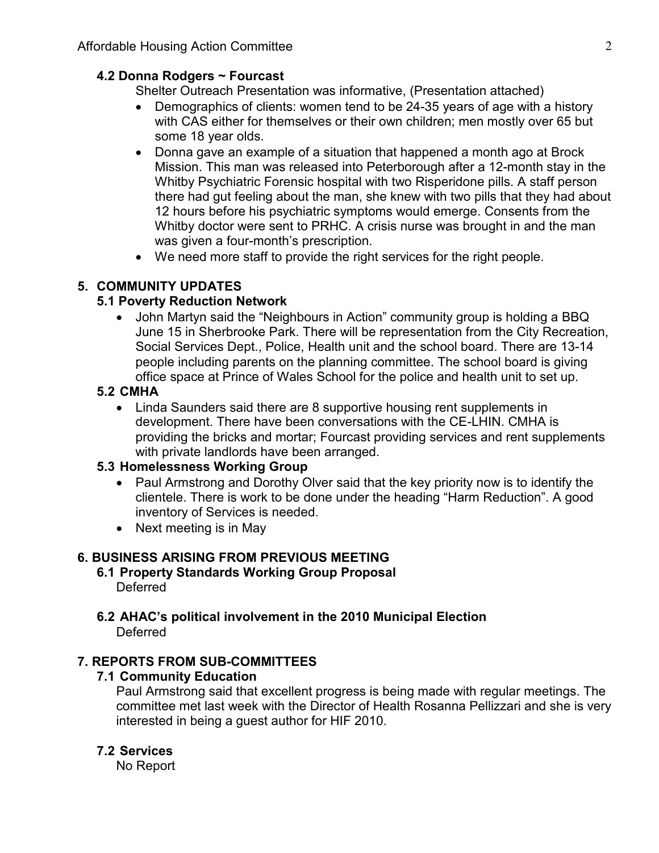## 4.2 Donna Rodgers ~ Fourcast

Shelter Outreach Presentation was informative, (Presentation attached)

- Demographics of clients: women tend to be 24-35 years of age with a history with CAS either for themselves or their own children; men mostly over 65 but some 18 year olds.
- Donna gave an example of a situation that happened a month ago at Brock Mission. This man was released into Peterborough after a 12-month stay in the Whitby Psychiatric Forensic hospital with two Risperidone pills. A staff person there had gut feeling about the man, she knew with two pills that they had about 12 hours before his psychiatric symptoms would emerge. Consents from the Whitby doctor were sent to PRHC. A crisis nurse was brought in and the man was given a four-month's prescription.
- We need more staff to provide the right services for the right people.

# 5. COMMUNITY UPDATES

### 5.1 Poverty Reduction Network

• John Martyn said the "Neighbours in Action" community group is holding a BBQ June 15 in Sherbrooke Park. There will be representation from the City Recreation, Social Services Dept., Police, Health unit and the school board. There are 13-14 people including parents on the planning committee. The school board is giving office space at Prince of Wales School for the police and health unit to set up.

## 5.2 CMHA

• Linda Saunders said there are 8 supportive housing rent supplements in development. There have been conversations with the CE-LHIN. CMHA is providing the bricks and mortar; Fourcast providing services and rent supplements with private landlords have been arranged.

## 5.3 Homelessness Working Group

- Paul Armstrong and Dorothy Olver said that the key priority now is to identify the clientele. There is work to be done under the heading "Harm Reduction". A good inventory of Services is needed.
- Next meeting is in May

#### 6. BUSINESS ARISING FROM PREVIOUS MEETING

- 6.1 Property Standards Working Group Proposal Deferred
- 6.2 AHAC's political involvement in the 2010 Municipal Election **Deferred**

## 7. REPORTS FROM SUB-COMMITTEES

## 7.1 Community Education

Paul Armstrong said that excellent progress is being made with regular meetings. The committee met last week with the Director of Health Rosanna Pellizzari and she is very interested in being a guest author for HIF 2010.

#### 7.2 Services

No Report